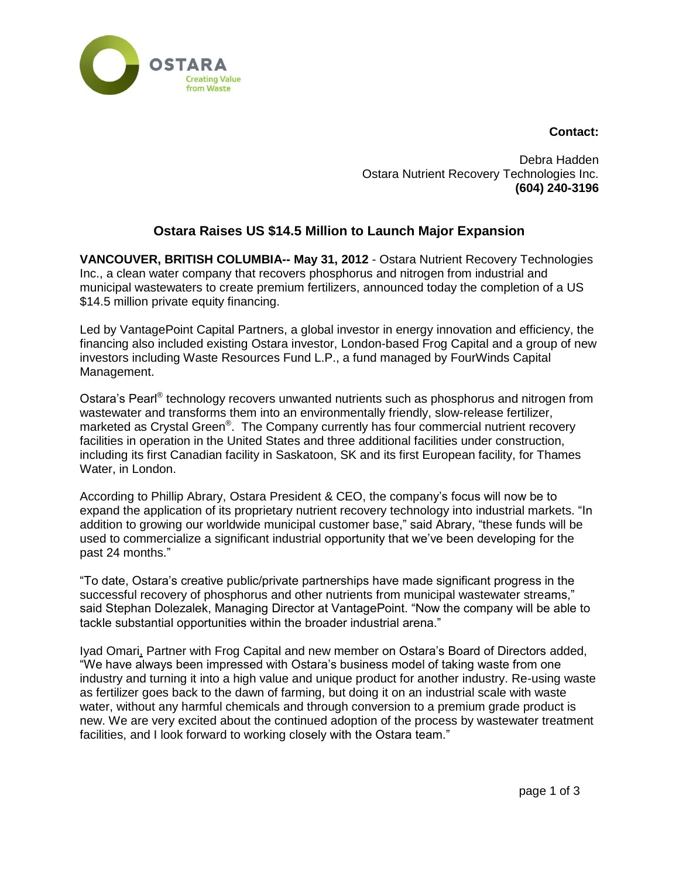



Debra Hadden Ostara Nutrient Recovery Technologies Inc. **(604) 240-3196**

# **Ostara Raises US \$14.5 Million to Launch Major Expansion**

**VANCOUVER, BRITISH COLUMBIA-- May 31, 2012** - Ostara Nutrient Recovery Technologies Inc., a clean water company that recovers phosphorus and nitrogen from industrial and municipal wastewaters to create premium fertilizers, announced today the completion of a US \$14.5 million private equity financing.

Led by VantagePoint Capital Partners, a global investor in energy innovation and efficiency, the financing also included existing Ostara investor, London-based Frog Capital and a group of new investors including Waste Resources Fund L.P., a fund managed by FourWinds Capital Management.

Ostara's Pearl<sup>®</sup> technology recovers unwanted nutrients such as phosphorus and nitrogen from wastewater and transforms them into an environmentally friendly, slow-release fertilizer, marketed as Crystal Green®. The Company currently has four commercial nutrient recovery facilities in operation in the United States and three additional facilities under construction, including its first Canadian facility in Saskatoon, SK and its first European facility, for Thames Water, in London.

According to Phillip Abrary, Ostara President & CEO, the company's focus will now be to expand the application of its proprietary nutrient recovery technology into industrial markets. "In addition to growing our worldwide municipal customer base," said Abrary, "these funds will be used to commercialize a significant industrial opportunity that we've been developing for the past 24 months."

"To date, Ostara's creative public/private partnerships have made significant progress in the successful recovery of phosphorus and other nutrients from municipal wastewater streams," said Stephan Dolezalek, Managing Director at VantagePoint. "Now the company will be able to tackle substantial opportunities within the broader industrial arena."

Iyad Omari, Partner with Frog Capital and new member on Ostara's Board of Directors added, "We have always been impressed with Ostara's business model of taking waste from one industry and turning it into a high value and unique product for another industry. Re-using waste as fertilizer goes back to the dawn of farming, but doing it on an industrial scale with waste water, without any harmful chemicals and through conversion to a premium grade product is new. We are very excited about the continued adoption of the process by wastewater treatment facilities, and I look forward to working closely with the Ostara team."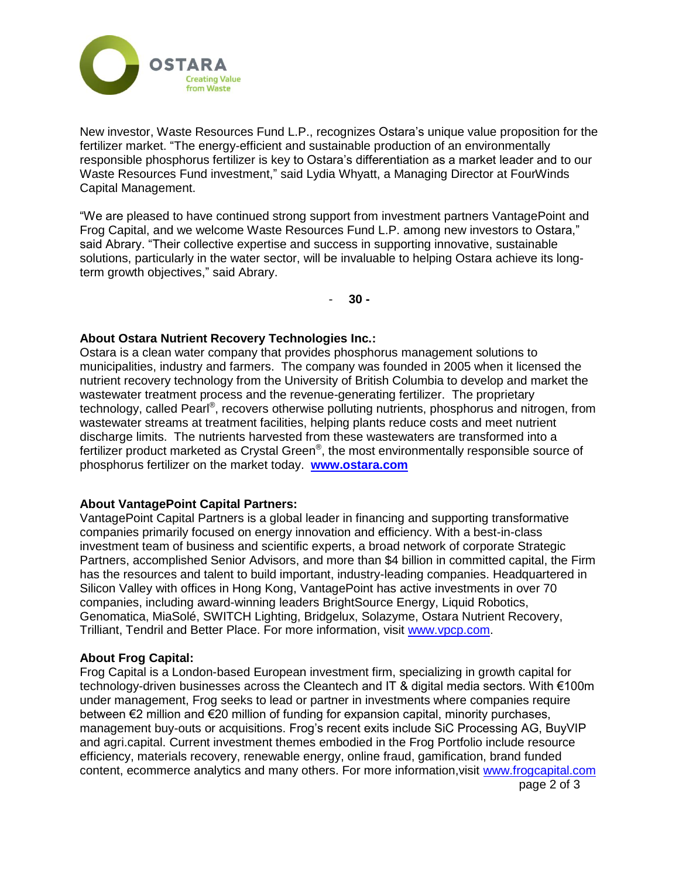

New investor, Waste Resources Fund L.P., recognizes Ostara's unique value proposition for the fertilizer market. "The energy-efficient and sustainable production of an environmentally responsible phosphorus fertilizer is key to Ostara's differentiation as a market leader and to our Waste Resources Fund investment," said Lydia Whyatt, a Managing Director at FourWinds Capital Management.

"We are pleased to have continued strong support from investment partners VantagePoint and Frog Capital, and we welcome Waste Resources Fund L.P. among new investors to Ostara," said Abrary. "Their collective expertise and success in supporting innovative, sustainable solutions, particularly in the water sector, will be invaluable to helping Ostara achieve its longterm growth objectives," said Abrary.

- **30 -**

## **About Ostara Nutrient Recovery Technologies Inc.:**

Ostara is a clean water company that provides phosphorus management solutions to municipalities, industry and farmers. The company was founded in 2005 when it licensed the nutrient recovery technology from the University of British Columbia to develop and market the wastewater treatment process and the revenue-generating fertilizer. The proprietary technology, called Pearl®, recovers otherwise polluting nutrients, phosphorus and nitrogen, from wastewater streams at treatment facilities, helping plants reduce costs and meet nutrient discharge limits. The nutrients harvested from these wastewaters are transformed into a fertilizer product marketed as Crystal Green®, the most environmentally responsible source of phosphorus fertilizer on the market today. **[www.ostara.com](http://www.ostara.com/)**

#### **About VantagePoint Capital Partners:**

VantagePoint Capital Partners is a global leader in financing and supporting transformative companies primarily focused on energy innovation and efficiency. With a best-in-class investment team of business and scientific experts, a broad network of corporate Strategic Partners, accomplished Senior Advisors, and more than \$4 billion in committed capital, the Firm has the resources and talent to build important, industry-leading companies. Headquartered in Silicon Valley with offices in Hong Kong, VantagePoint has active investments in over 70 companies, including award-winning leaders BrightSource Energy, Liquid Robotics, Genomatica, MiaSolé, SWITCH Lighting, Bridgelux, Solazyme, Ostara Nutrient Recovery, Trilliant, Tendril and Better Place. For more information, visit [www.vpcp.com.](http://www.vpcp.com/)

#### **About Frog Capital:**

Frog Capital is a London-based European investment firm, specializing in growth capital for technology-driven businesses across the Cleantech and IT & digital media sectors. With €100m under management, Frog seeks to lead or partner in investments where companies require between €2 million and €20 million of funding for expansion capital, minority purchases, management buy-outs or acquisitions. Frog's recent exits include SiC Processing AG, BuyVIP and agri.capital. Current investment themes embodied in the Frog Portfolio include resource efficiency, materials recovery, renewable energy, online fraud, gamification, brand funded content, ecommerce analytics and many others. For more information,visit [www.frogcapital.com](http://www.frogcapital.com/)